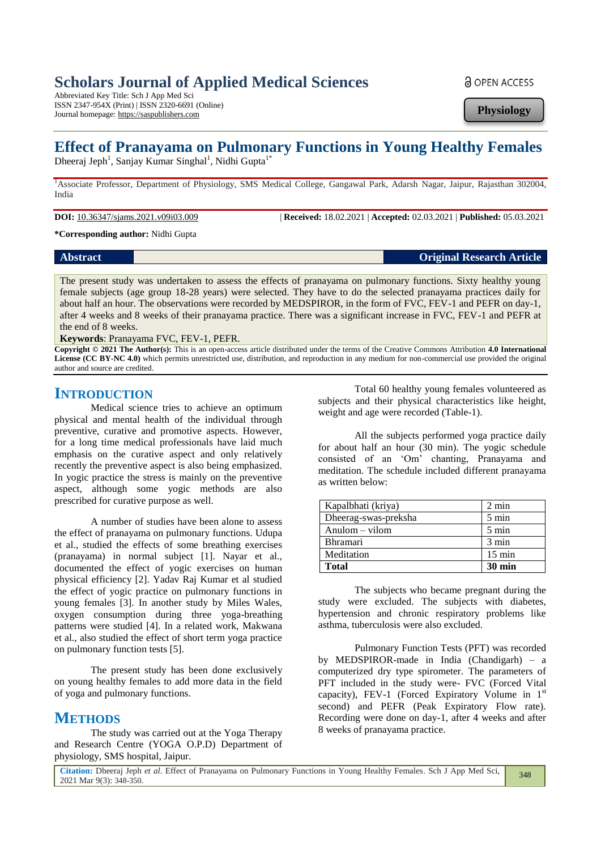## **Scholars Journal of Applied Medical Sciences**

Abbreviated Key Title: Sch J App Med Sci ISSN 2347-954X (Print) | ISSN 2320-6691 (Online) Journal homepage: https://saspublishers.com

**a** OPEN ACCESS

**Physiology**

# **Effect of Pranayama on Pulmonary Functions in Young Healthy Females**

Dheeraj Jeph<sup>1</sup>, Sanjay Kumar Singhal<sup>1</sup>, Nidhi Gupta<sup>1\*</sup>

<sup>1</sup>Associate Professor, Department of Physiology, SMS Medical College, Gangawal Park, Adarsh Nagar, Jaipur, Rajasthan 302004, India

**DOI:** 10.36347/sjams.2021.v09i03.009 | **Received:** 18.02.2021 | **Accepted:** 02.03.2021 | **Published:** 05.03.2021

**\*Corresponding author:** Nidhi Gupta

#### **Abstract Original Research Article**

The present study was undertaken to assess the effects of pranayama on pulmonary functions. Sixty healthy young female subjects (age group 18-28 years) were selected. They have to do the selected pranayama practices daily for about half an hour. The observations were recorded by MEDSPIROR, in the form of FVC, FEV-1 and PEFR on day-1, after 4 weeks and 8 weeks of their pranayama practice. There was a significant increase in FVC, FEV-1 and PEFR at the end of 8 weeks.

**Keywords**: Pranayama FVC, FEV-1, PEFR.

**Copyright © 2021 The Author(s):** This is an open-access article distributed under the terms of the Creative Commons Attribution **4.0 International License (CC BY-NC 4.0)** which permits unrestricted use, distribution, and reproduction in any medium for non-commercial use provided the original author and source are credited.

### **INTRODUCTION**

Medical science tries to achieve an optimum physical and mental health of the individual through preventive, curative and promotive aspects. However, for a long time medical professionals have laid much emphasis on the curative aspect and only relatively recently the preventive aspect is also being emphasized. In yogic practice the stress is mainly on the preventive aspect, although some yogic methods are also prescribed for curative purpose as well.

A number of studies have been alone to assess the effect of pranayama on pulmonary functions. Udupa et al., studied the effects of some breathing exercises (pranayama) in normal subject [1]. Nayar et al., documented the effect of yogic exercises on human physical efficiency [2]. Yadav Raj Kumar et al studied the effect of yogic practice on pulmonary functions in young females [3]. In another study by Miles Wales, oxygen consumption during three yoga-breathing patterns were studied [4]. In a related work, Makwana et al., also studied the effect of short term yoga practice on pulmonary function tests [5].

The present study has been done exclusively on young healthy females to add more data in the field of yoga and pulmonary functions.

## **METHODS**

The study was carried out at the Yoga Therapy and Research Centre (YOGA O.P.D) Department of physiology, SMS hospital, Jaipur.

Total 60 healthy young females volunteered as subjects and their physical characteristics like height, weight and age were recorded (Table-1).

All the subjects performed yoga practice daily for about half an hour (30 min). The yogic schedule consisted of an 'Om' chanting, Pranayama and meditation. The schedule included different pranayama as written below:

| Kapalbhati (kriya)   | $2 \text{ min}$  |
|----------------------|------------------|
| Dheerag-swas-preksha | $5 \text{ min}$  |
| $Anulom - vilom$     | 5 min            |
| Bhramari             | $3 \text{ min}$  |
| Meditation           | $15 \text{ min}$ |
| <b>Total</b>         | $30 \text{ min}$ |

The subjects who became pregnant during the study were excluded. The subjects with diabetes, hypertension and chronic respiratory problems like asthma, tuberculosis were also excluded.

Pulmonary Function Tests (PFT) was recorded by MEDSPIROR-made in India (Chandigarh) – a computerized dry type spirometer. The parameters of PFT included in the study were- FVC (Forced Vital capacity), FEV-1 (Forced Expiratory Volume in  $1<sup>st</sup>$ second) and PEFR (Peak Expiratory Flow rate). Recording were done on day-1, after 4 weeks and after 8 weeks of pranayama practice.

348

**Citation:** Dheeraj Jeph *et al*. Effect of Pranayama on Pulmonary Functions in Young Healthy Females. Sch J App Med Sci, 2021 Mar 9(3): 348-350.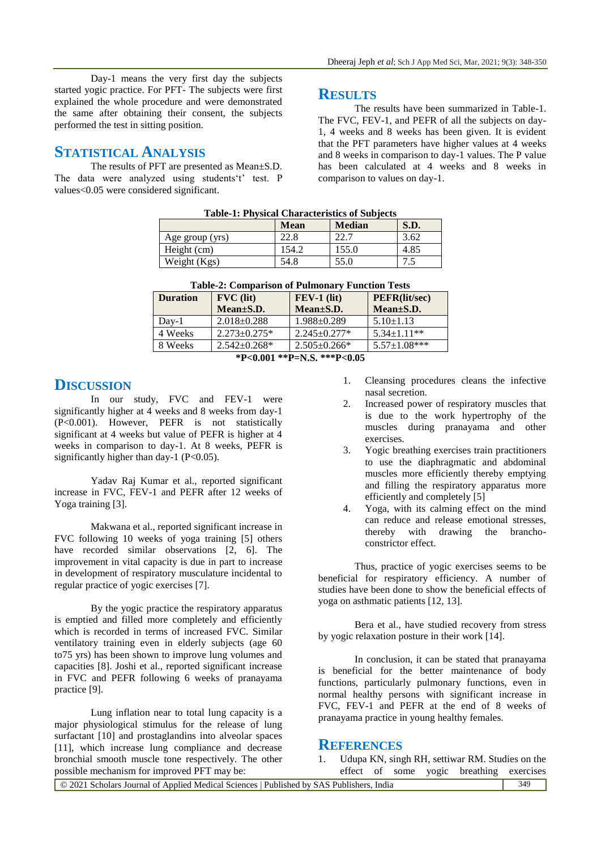Day-1 means the very first day the subjects started yogic practice. For PFT- The subjects were first explained the whole procedure and were demonstrated the same after obtaining their consent, the subjects performed the test in sitting position.

### **STATISTICAL ANALYSIS**

The results of PFT are presented as Mean±S.D. The data were analyzed using students't' test. P values<0.05 were considered significant.

### **RESULTS**

The results have been summarized in Table-1. The FVC, FEV-1, and PEFR of all the subjects on day-1, 4 weeks and 8 weeks has been given. It is evident that the PFT parameters have higher values at 4 weeks and 8 weeks in comparison to day-1 values. The P value has been calculated at 4 weeks and 8 weeks in comparison to values on day-1.

| <b>Table-1: Physical Characteristics of Subjects</b> |             |               |      |  |  |
|------------------------------------------------------|-------------|---------------|------|--|--|
|                                                      | <b>Mean</b> | <b>Median</b> | S.D. |  |  |
| Age group (yrs)                                      | 22.8        | 22.7          | 3.62 |  |  |
| Height (cm)                                          | 154.2       | 155.0         | 4.85 |  |  |
| Weight (Kgs)                                         | 54.8        | 55.0          | 7.5  |  |  |

| <b>Table-2: Comparison of Pulmonary Function Tests</b> |                     |                    |                      |  |  |
|--------------------------------------------------------|---------------------|--------------------|----------------------|--|--|
| <b>Duration</b>                                        | $\bf FVC$ (lit)     | $FEV-1$ (lit)      | <b>PEFR(lit/sec)</b> |  |  |
|                                                        | Mean±S.D.           | Mean±S.D.          | $Mean \pm S.D.$      |  |  |
| $Day-1$                                                | $2.018 \pm 0.288$   | $1.988 \pm 0.289$  | $5.10 \pm 1.13$      |  |  |
| 4 Weeks                                                | $2.273 \pm 0.275$ * | $2.245+0.277*$     | $5.34 \pm 1.11$ **   |  |  |
| 8 Weeks                                                | $2.542 \pm 0.268$ * | $2.505 \pm 0.266*$ | $5.57 \pm 1.08$ ***  |  |  |

**<sup>\*</sup>P<0.001 \*\*P=N.S. \*\*\*P<0.05**

### **DISCUSSION**

In our study, FVC and FEV-1 were significantly higher at 4 weeks and 8 weeks from day-1 (P<0.001). However, PEFR is not statistically significant at 4 weeks but value of PEFR is higher at 4 weeks in comparison to day-1. At 8 weeks, PEFR is significantly higher than day-1 ( $P < 0.05$ ).

Yadav Raj Kumar et al., reported significant increase in FVC, FEV-1 and PEFR after 12 weeks of Yoga training [3].

Makwana et al., reported significant increase in FVC following 10 weeks of yoga training [5] others have recorded similar observations [2, 6]. The improvement in vital capacity is due in part to increase in development of respiratory musculature incidental to regular practice of yogic exercises [7].

By the yogic practice the respiratory apparatus is emptied and filled more completely and efficiently which is recorded in terms of increased FVC. Similar ventilatory training even in elderly subjects (age 60 to75 yrs) has been shown to improve lung volumes and capacities [8]. Joshi et al., reported significant increase in FVC and PEFR following 6 weeks of pranayama practice [9].

Lung inflation near to total lung capacity is a major physiological stimulus for the release of lung surfactant [10] and prostaglandins into alveolar spaces [11], which increase lung compliance and decrease bronchial smooth muscle tone respectively. The other possible mechanism for improved PFT may be:

- 1. Cleansing procedures cleans the infective nasal secretion.
- 2. Increased power of respiratory muscles that is due to the work hypertrophy of the muscles during pranayama and other exercises.
- 3. Yogic breathing exercises train practitioners to use the diaphragmatic and abdominal muscles more efficiently thereby emptying and filling the respiratory apparatus more efficiently and completely [5]
- 4. Yoga, with its calming effect on the mind can reduce and release emotional stresses, thereby with drawing the branchoconstrictor effect.

Thus, practice of yogic exercises seems to be beneficial for respiratory efficiency. A number of studies have been done to show the beneficial effects of yoga on asthmatic patients [12, 13].

Bera et al., have studied recovery from stress by yogic relaxation posture in their work [14].

In conclusion, it can be stated that pranayama is beneficial for the better maintenance of body functions, particularly pulmonary functions, even in normal healthy persons with significant increase in FVC, FEV-1 and PEFR at the end of 8 weeks of pranayama practice in young healthy females.

### **REFERENCES**

1. Udupa KN, singh RH, settiwar RM. Studies on the effect of some yogic breathing exercises

| © 2021 Scholars Journal of Applied Medical Sciences   Published by SAS Publishers, India | 349 |
|------------------------------------------------------------------------------------------|-----|
|                                                                                          |     |